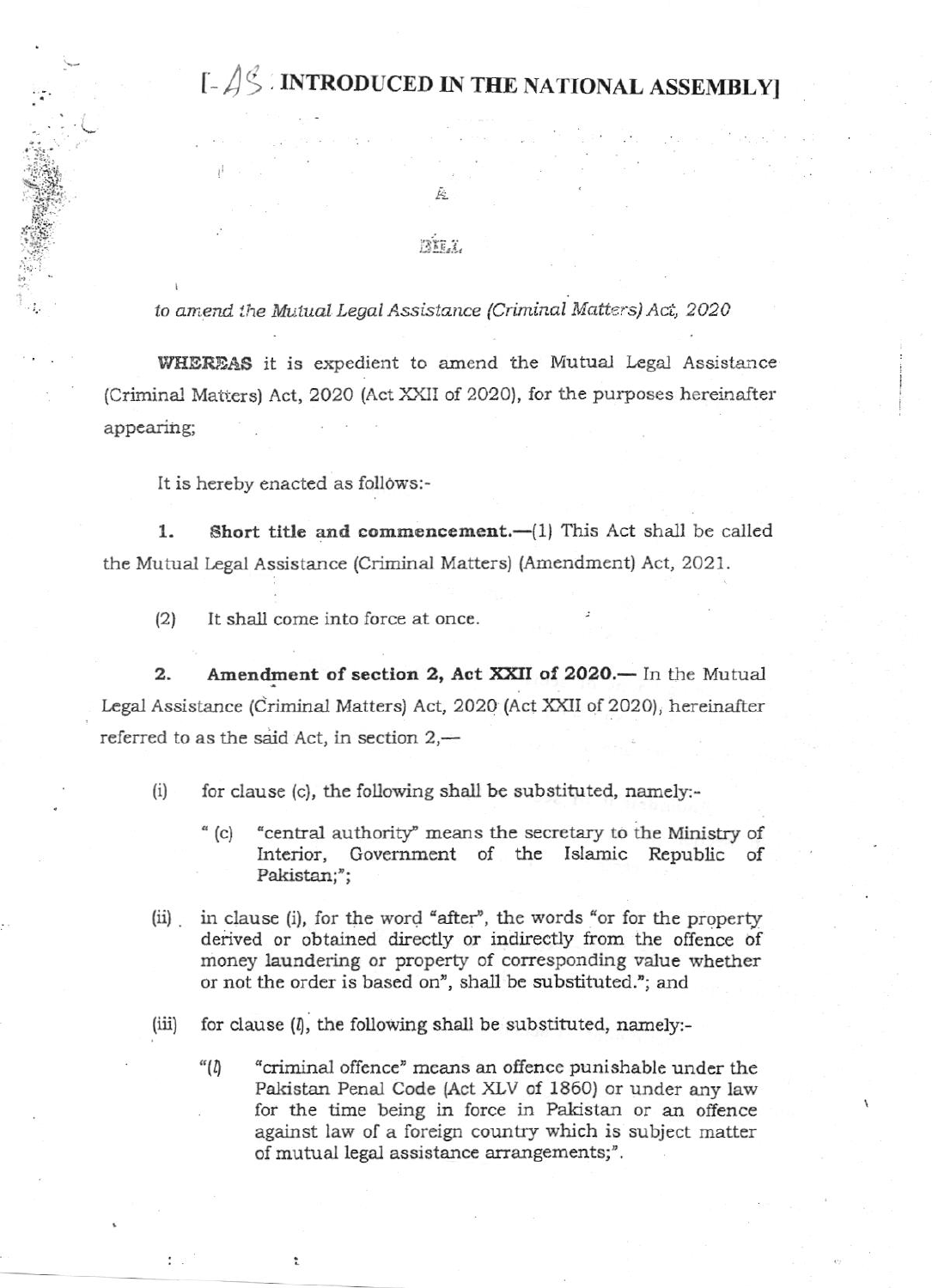# $\lceil -\frac{1}{5} \rceil$  introduced in the national assembly

FATE.T.

to amend the Mutual Legal Assistance (Criminal Matters) Act, 2020

WHEREAS it is expedient to amend the Mutual Legal Assistance (Criminal Matters) Act, 2020 (Act XXII of 2020), for the purposes hereinafter appearing;

It is hereby enacted as follows:-

1. Short title and commencement.-(1) This Act shall be called the Mutual Legal Assistance (Criminal Matters) (Amendment) Act, 2021.

It shall come into force at once.  $(2)$ 

Amendment of section 2, Act XXII of 2020. - In the Mutual 2. Legal Assistance (Criminal Matters) Act, 2020 (Act XXII of 2020), hereinafter referred to as the said Act, in section 2,—

for clause (c), the following shall be substituted, namely:- $(i)$ 

- "central authority" means the secretary to the Ministry of  $^{\alpha}$  (c) Interior, Government of the Islamic Republic of Pakistan;";
- in clause (i), for the word "after", the words "or for the property  $(i)$ derived or obtained directly or indirectly from the offence of money laundering or property of corresponding value whether or not the order is based on", shall be substituted."; and
- for clause  $(l)$ , the following shall be substituted, namely:- $(iii)$ 
	- $``(1)$ "criminal offence" means an offence punishable under the Pakistan Penal Code (Act XLV of 1860) or under any law for the time being in force in Pakistan or an offence against law of a foreign country which is subject matter of mutual legal assistance arrangements;".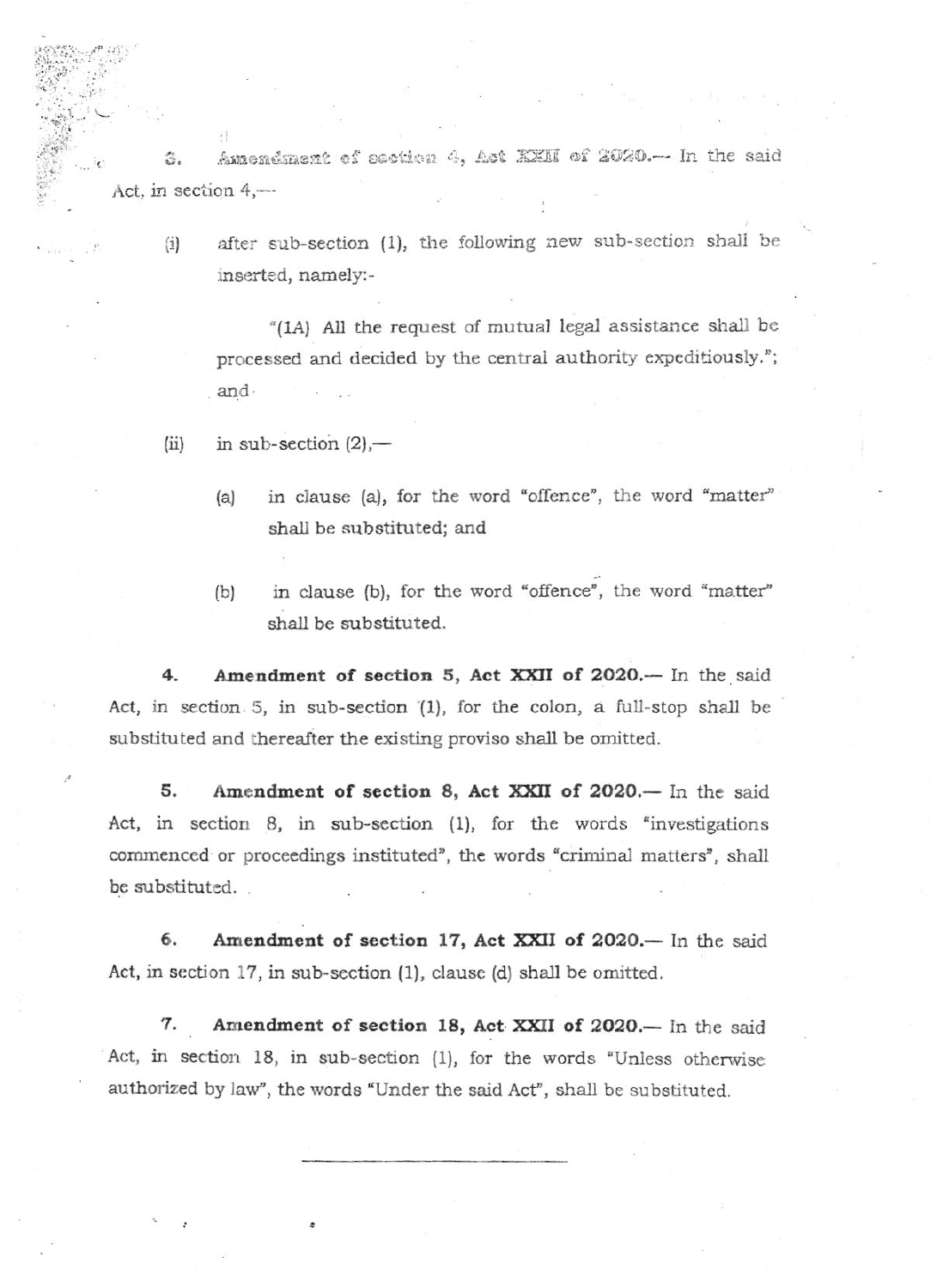Amendment of section 4, Act XXII of 2020.- In the said 3. Act, in section 4,-

 $\left( i\right)$ 

after sub-section (1), the following new sub-section shall be inserted, namely:-

"(1A) All the request of mutual legal assistance shall be processed and decided by the central authority expeditiously."; and

- in sub-section  $(2)$ ,—  $(ii)$ 
	- in clause (a), for the word "offence", the word "matter"  $(a)$ shall be substituted; and
	- in clause (b), for the word "offence", the word "matter"  $(b)$ shall be substituted.

Amendment of section 5, Act XXII of 2020.- In the said 4. Act, in section 5, in sub-section (1), for the colon, a full-stop shall be substituted and thereafter the existing proviso shall be omitted.

5. Amendment of section 8, Act XXII of 2020.— In the said Act, in section 8, in sub-section (1), for the words "investigations commenced or proceedings instituted", the words "criminal matters", shall be substituted.

6. Amendment of section 17, Act XXII of 2020.- In the said Act, in section 17, in sub-section (1), clause (d) shall be omitted.

Amendment of section 18, Act XXII of 2020.- In the said 7. Act, in section 18, in sub-section (1), for the words "Unless otherwise authorized by law", the words "Under the said Act", shall be substituted.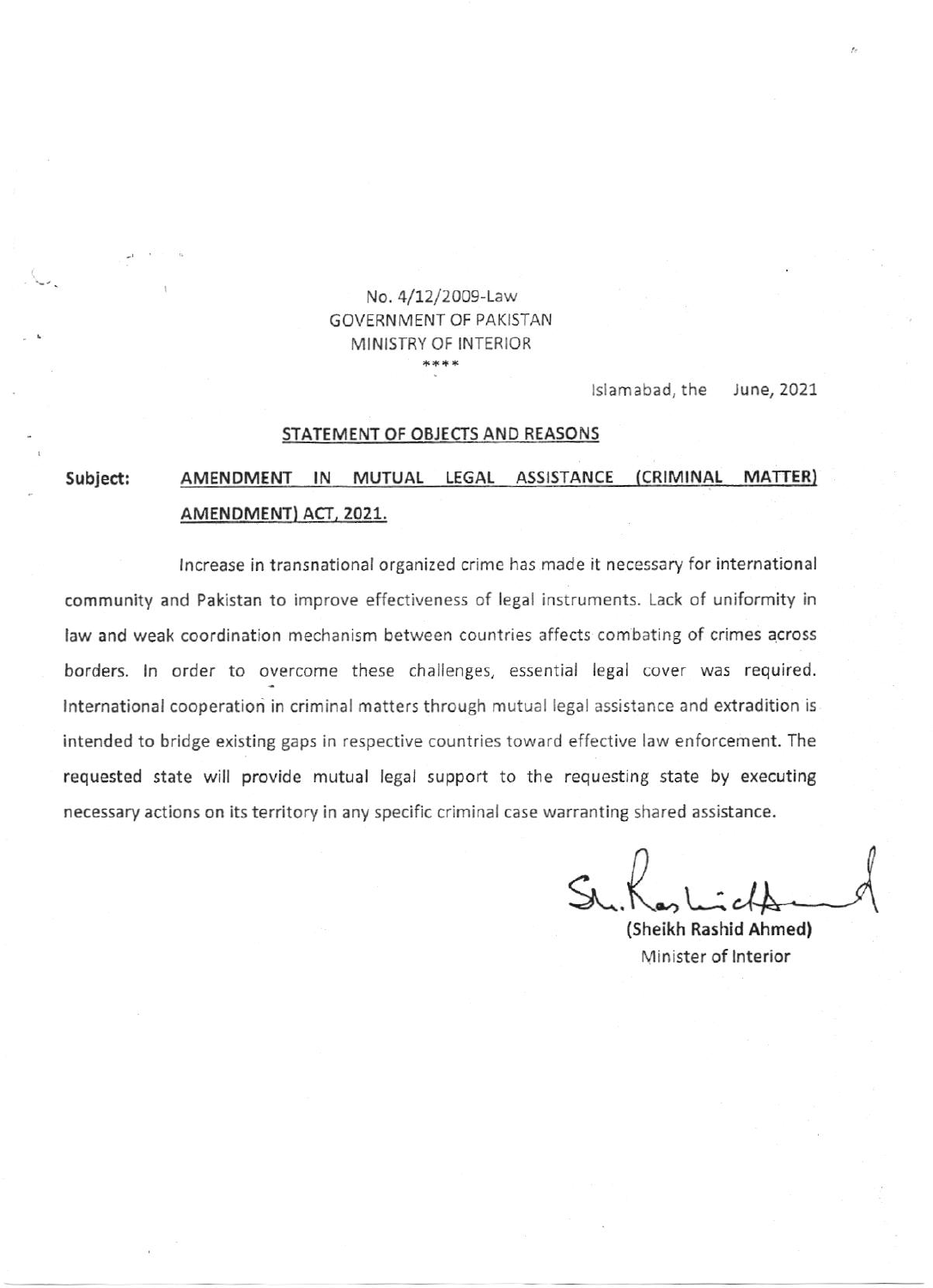### Na. 4/72/2009-Law GOVERNMENT OF PAKISTAN MINISTRY OF INTERIOR \*\*\*\*

lslamabad, the June, <sup>2021</sup>

#### STATEMENT OF OBJECTS AND REASONS

## Subject: AMENDMENT IN MUTUAL LEGAL ASSISTANCE (CRIMINAL MATTER) AMENDMENT) ACT, 2021.

lncrea5e in transnatlonal organized crime has made it necessary for international community and Pakistan to improve effectiveness of legal instruments. Lack of uniformity in law and weak coordination mechanism between countries affects combating of crimes across borders. In order to overcome these challenges, essential legal cover was required. International cooperation in criminal matters through mutual legal assistance and extradition is intended to bridge existing gaps in respective countries toward effective law enforcement. The requested state will provide mutual legal support to the requesting state by executing necessary actions on its territory in any specific criminal case warranting shared assistance.

 $S$ h. Kas l

(sheikh Rashld Ahmed) Minister of lnterior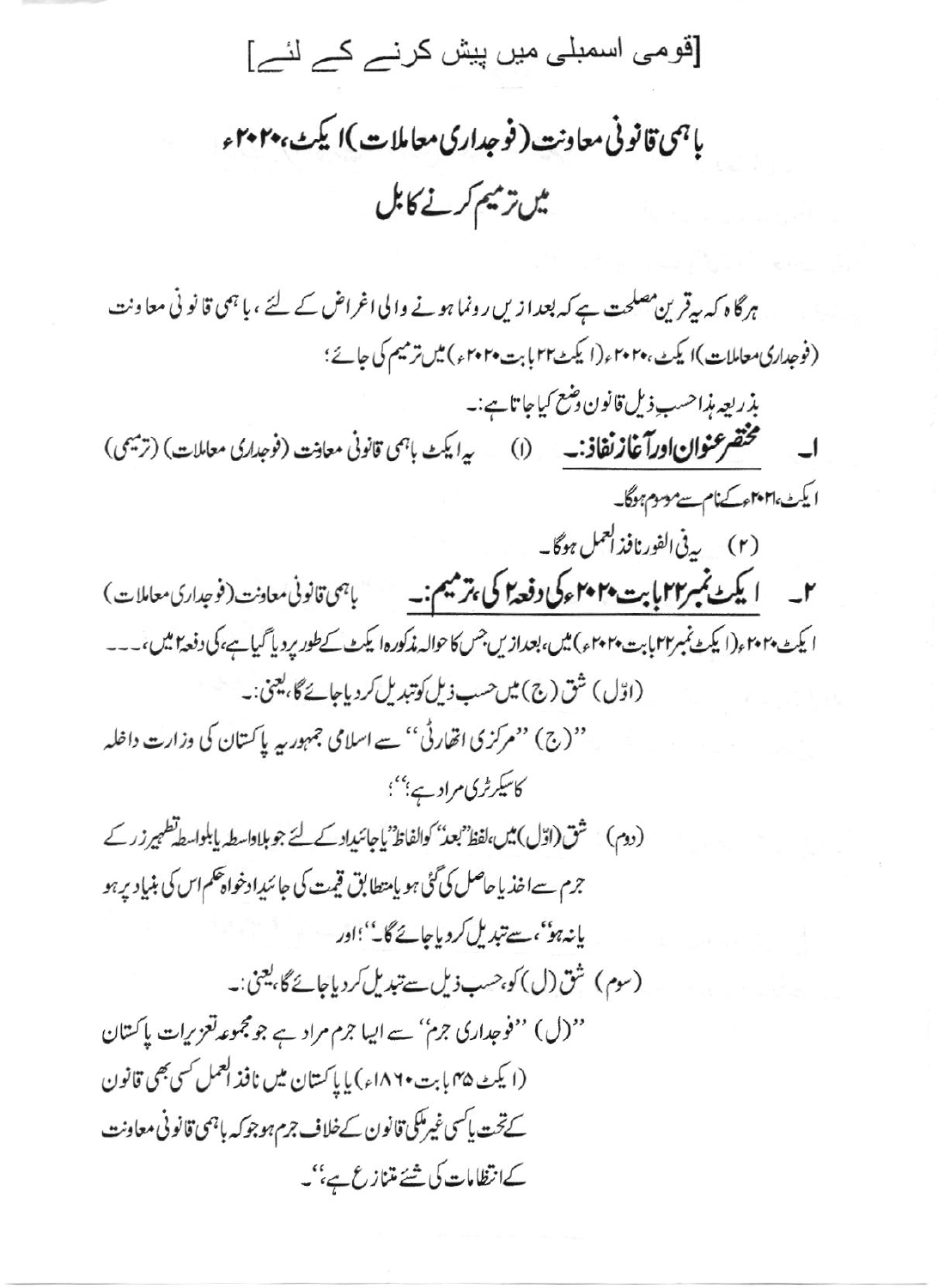[قومی اسمبلی میں پیش کرنے کے لئے]

باہمی قانونی معاونت ( فوجداری معاملات )ا کیٹ، پہو میں ترمیم کرنے کابل

ہرگاہ کہ بیرقرین مصلحت ہے کہ بعدا زیں رونما ہونے والی اغراض کے لئے ، یا ہمی قانو نی معاونت (فوجداری معاملات)ا یکٹ،۲۰۲۰ء(ایکٹ1۲بابتہ ۲۰۲۰ء) میں ترمیم کی جائے؛ بذريعه مذاحسب ذيل قانون دضع كياجا تاہے:۔ مختصر عنوان اورآغاز نفاذ: به (I) میرایک باجی قانونی معادنت (نوجداری معاملات) (ترمیمی) ایکٹ ا۲۰۲۱ءکےنام سے موسوم ہوگا۔ ٢\_ ایکٹ نمبر٢٢ پابت ٢٠٢٠ ءکی وفعہ آگی ہر میم :۔ پہی قانونی معادنت (فوجداری معاملات) ا يكث ٢٠٢٠م(ا يكث نمبر٢٢ بابت ٢٠٢٠م) ميں، بعدازيں جس كاحوالہ مذكوره ايكث كے طور بردياً گيا ہے، كى دفعة اميس،۔۔۔ (اوّل) شق (ج) میں حسب ذیل کوتبدیل کردیاجائے گا، یعنی:۔ ''(ج) ''مرکزی اتھارٹی'' سے اسلامی جمہوریہ پاکستان کی وزارت داخلہ کاسکرٹری مرادے؛''؛ (دوم) شق(اوّل) میں،لفظ بعد کوالفاظ یاجائیداد کے لئے جو ہلاداسطہ پابلواسط تطہیر زر کے جرم سےاخذیا حاصل کی گئی ہو پامتطابق قیمت کی جائیدادخواہ حکم اس کی بنیاد پر ہو یانہ ہو''،سےتبدیل کردیاجائے گا۔'' اور (سوم) شق(ل) کو،حسب ذیل سے تبدیل کردیاجائے گا، یعنی:۔ ''(ل) ''فوجداری جرم'' سے ایبا جرم مراد ہے جو مجموعہ تعزیرات پاکستان (ایکٹ ۴۵ بابت ۱۸۶۰ء) یا پاکستان میں نافذ العمل کسی بھی قانون کےتحت پاکسی غیرملکی قانون کےخلاف جرم ہوجو کہ باہمی قانونی معاونت کےانظامات کی شئے متنازع ہے،''۔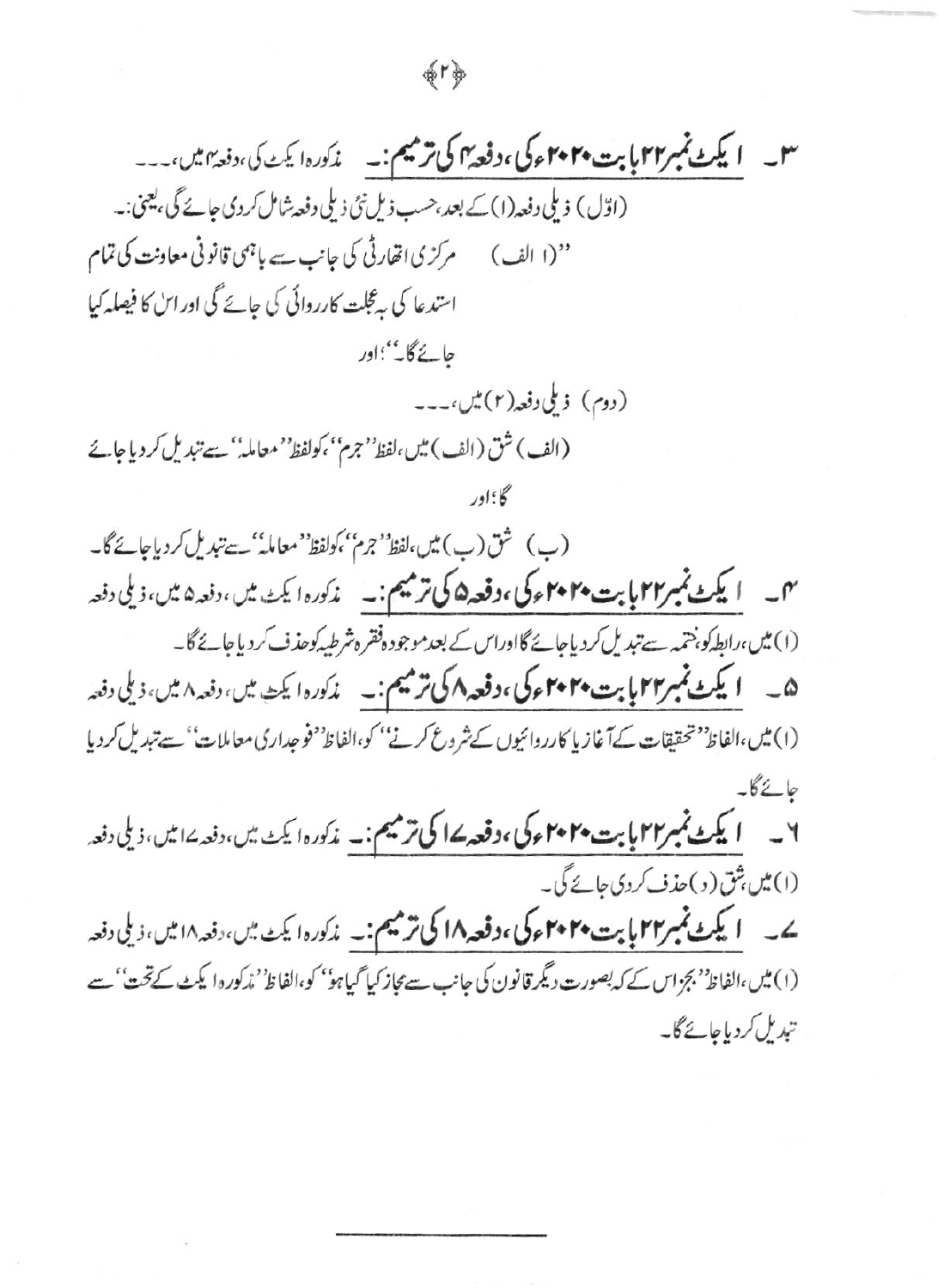## 命りゆ

(اوّل) ذیلی دفعہ(۱) کے بعد،حسب ذیل نئی ذیلی دفعہ شامل کردی جائے گی، یعنی:۔ ''(ا الف) مرکزی اتھارٹی کی جانب سے باہمی قانونی معاونت کی تمام استدعا کی ہے گجلت کارروائی کی جائے گی اور اسٰ کا فیصلہ کیا حائے گا''؛اور (دوم) ذیلی دفعہ(۲) میں،۔۔۔ (الف) شق (الف) ميں،لفظ''جرم''،کولفظ'' معاملہٰ'' سے تبدیل کر دیاجائے گا؛اور (ب) شق(ب) میں،لفظ''جرم''،کولفظ''معاملہٗ' سے تبدیل کردیاجائے گا۔ مهم \_\_ **ايکٹ نمبر۲۲ بابت ۲۰ ۴۰ ء کی ، دفعہ ۵ کی ترمیم : \_\_**\_ مذکورہ ايکٹ ميں ، دفعہ ۵ ميں، ذيلی دفعہ (۱) میں،رابطہ کو، ختمہ سے تبدیل کردیاجائے گااوراس کے بعد موجودہ فقرہ شرطیہ کوحذف کردیاجائے گا۔ ۵\_\_ ایکٹ نمبر۲۲ مایا بت ۲۰ ۴۰ ء کی، دفعہ ۸ کی ترمیم :۔ پند دره ایکٹ میں، دفعہ ۸ میں، ذیلی دفعہ (١) میں،الفاظ''تحقیقات کےآغازیا کارروائیوں کےشروع کرتے'' کو،الفاظ''فوجداری معاملات'' سے تبدیل کردیا حائے گا۔ .<br>٧ \_\_\_ ایکٹ نمبر٢٢ پابت ٢٠٢٠ ء کی ،دفعہ ۱۷ کی ترمیم:۔ مذکورہ ایکٹ میں،دفعہ ۱۷ میں،ذیلی دفعہ (۱)میں شق( د )حذف کردی جائے گی۔ ے۔ **ایکٹ نمبر۲۲ بابت ۲۰۲۰ ءکی، دفعہ ۱۸ کی ترمیم:**۔ م*ذک*ورہ ایکٹ میں، دفعہ ۱۸میں، ذیلی دفعہ (۱) میں،الفاظ''بجزاس کے کہ بصورت دیگر قانون کی جانب سے مجاز کیا گیاہو'' کو،الفاظ''مڈکورہ ایکٹ کے تحت'' سے تېدىل كردىياجائےگا۔